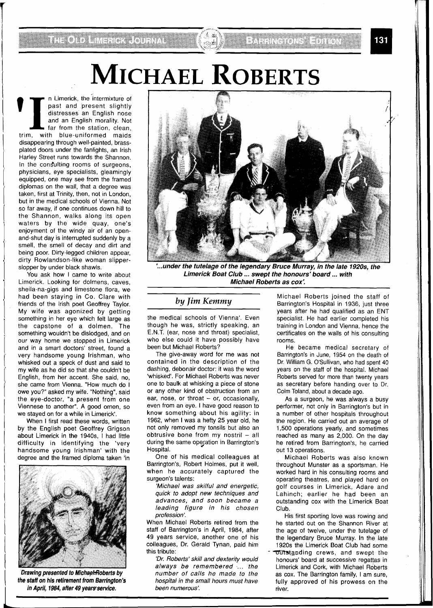## **MICHAEL ROBERTS**

I In Limerick, the intermixture of past and present slightly distresses an English nose and an English morality. Not far from the station, clean, trim, with blue-uniformed maids past and present slightly distresses' an English nose and an English morality. Not far from the station, clean, disappearing through well-painted, brassplated doors under the fanlights, an lrish Harley Street runs towards the Shannon. In the consulting rooms of surgeons. physicians, eye specialists, gleamingly equipped, one may see from the framed diplomas on the wall, that a degree was taken, first at Trinity, then, not in London, but in the medical schools of Vienna. Not so far away, if one continues down hill to the Shannon, walks along its open waters by the wide quay, one's enjoyment of the windy air of an openand-shut day is interrupted suddenly by a smell, the smell of decay and dirt and being poor. Dirty-legged children appear, dirty Rowlandson-like woman slipperslopper by under black shawls.

You ask how I came to write about Limerick. Looking for dolmens, caves, sheila-na-gigs and limestone flora, we had been staying in Co. Clare with friends of the lrish poet Geoffrey Taylor. My wife was agonized by getting something in her eye which felt large as the capstone of a dolmen. The something wouldn't be dislodged, and on our way home we stopped in Limerick and in a smart doctors' street, found a very handsome young Irishman, who whisked out a speck of dust and said to my wife as he did so that she couldn't be English, from her accent. She said, no, she came from Vienna. "How much do I owe you?" asked my wife. "Nothing", said the eye-doctor, "a present from one Viennese to another". A good omen, so we stayed on for a while in Limerick'.

When I first read these words, written by the English poet Geoffrey Grigson about Limerick in the 1940s, I had little difficulty in identifying the 'very handsome young Irishman' with the degree and the framed diploma taken 'in



**Drawing presented to Michael-Roberts by the staff on his retirement from Barrington's**  in April, 1984, after 49 years service.



BARRINGTONS EDITON

**'...under the tutelage of the legendary Bruce Murray, in the late 1920s, the Limerick Boat Club** ... **swept the honours' board** ... **with Michael Roberts as cox'.** 

## *by Jim Kemmy*

the medical schools of Vienna'. Even though he was, strictly speaking, an E.N.T. (ear, nose and throat) specialist, who else could it have possibly have been but Michael Roberts?

The give-away word for me was not contained in the description of the dashing, debonair doctor: it was the word 'whisked'. For Michael Roberts was never one to baulk at whisking a piece of stone or any other kind of obstruction from an ear, nose, or throat  $-$  or, occasionally, even from an eye. I have good reason to know something about his agility: in 1962, when I was a hefty 25 year old, he not only removed my tonsils but also an obtrusive bone from my nostril  $-$  all during the same operation in Barrington's Hospital.

One of his medical colleagues at Barrington's, Robert Holmes, put it well, when he accurately captured the surgeon's talents:

'Michael was skilful and energetic, quick to adopt new techniques and advances, and soon became a leading figure in his chosen profession'.

When Michael Roberts retired from the staff of Barrington's in April, 1984, after 49 years service, another one of his colleagues, Dr. Gerald Tynan, paid him this tribute:

'Dr. Roberts' skill and dexterity would always be remembered ... the number of calls he made to the hospital in the small hours must have been numerous'.

Michael Roberts joined the staff of Barrington's Hospital in 1936, just three years after he had qualified as an ENT specialist. He had earlier completed his training in London and Vienna, hence the certificates on the walls of his consulting rooms.

He became medical secretary of Barrington's in June, 1954 on the death of Dr. William G. O'Sullivan, who had spent 40 years on the staff of the hospital. Michael Roberts served for more than twenty years as secretary before handing over to Dr. Colm Toland, about a decade ago.

As a surgeon, he was always a busy performer, not only in Barrington's but in a number of other hospitals throughout the region. He carried out an average of 1,500 operations yearly, and sometimes reached as many as 2,000. On the day he retired from Barrington's, he carried out 13 operations.

Michael Roberts was also known throughout Munster as a sportsman. He worked hard in his consulting rooms and operating theatres, and played hard on golf courses in Limerick, Adare and Lahinch; earlier he had been an outstanding cox with the Limerick Boat Club.

His first sporting love was rowing and he started out on the Shannon River at the age of twelve, under the tutelage of the legendary Bruce Murray. In the late 1920s the Limerick Boat Club had some outstanding crews, and swept the honours' board at successive regattas in Limerick and Cork, with Michael Roberts as cox. The Barrington family, I am sure, fully approved of his prowess on the river.